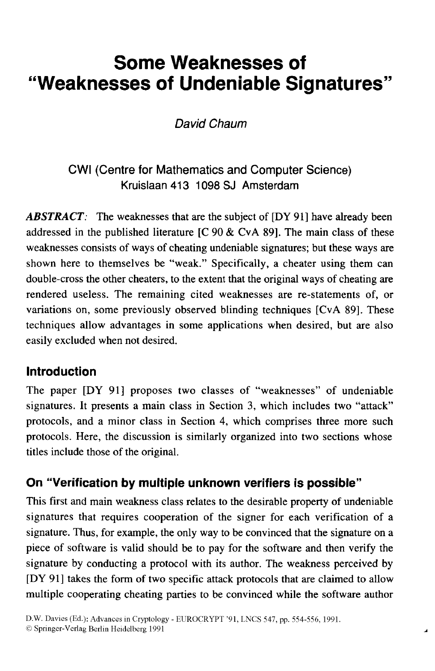# **Some Weaknesses of "Weaknesses of Undeniable Signatures"**

# *David Chaum*

# CWI (Centre for Mathematics and Computer Science) Kruislaan 413 1098 SJ Amsterdam

ABSTRACT: The weaknesses that are the subject of [DY 91] have already been addressed in the published literature  $[C 90 & CvA 89]$ . The main class of these weaknesses consists of ways of cheating undeniable signatures; but these ways are shown here to themselves be "weak." Specifically, a cheater using them can double-cross the other cheaters, to the extent that the original ways of cheating are rendered useless. The remaining cited weaknesses are re-statements of, or variations on, some previously observed blinding techniques [CVA 891. These techniques allow advantages in some applications when desired, but are also easily excluded when not desired.

## **Introduction**

The paper [DY 911 proposes two classes of "weaknesses" of undeniable signatures. It presents a main class in Section 3, which includes two "attack" protocols, and a minor class in Section **4,** which comprises three more such protocols. Here, the discussion is similarly organized into two sections whose titles include those of the original.

## **On "Verification by multiple unknown verifiers is possible"**

This first and main weakness class relates to the desirable property of undeniable signatures that requires cooperation of the signer for each verification of a signature. Thus, for example, the only way to be convinced that the signature on a piece of software is valid should be to pay for the software and then verify the signature by conducting a protocol with its author. The weakness perceived by [DY 911 takes the form of two specific attack protocols that are claimed to allow multiple cooperating cheating parties to be convinced while the software author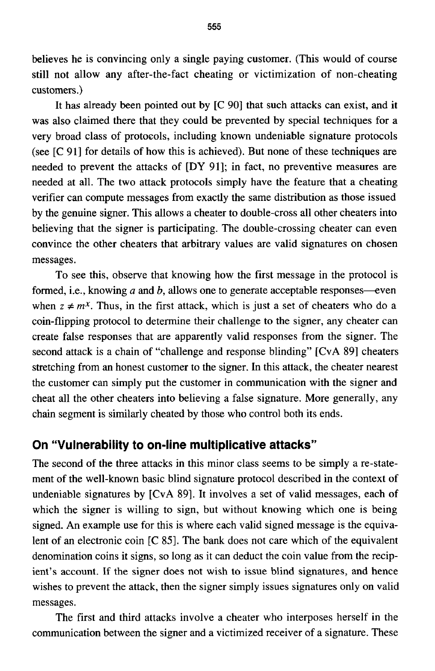believes he is convincing only a single paying customer. (This would **of** course still not allow any after-the-fact cheating or victimization of non-cheating customers .)

It has already been pointed out by **[C 901** that such attacks can exist, and it was also claimed there that they could be prevented by special techniques for a very broad class of protocols, including known undeniable signature protocols (see [C **911** for details of how this is achieved). But none of these techniques are needed to prevent the attacks of [DY 911; in fact, no preventive measures are needed at all. The two attack protocols simply have the feature that a cheating verifier can compute messages from exactly the same distribution as those issued by the genuine signer. This allows a cheater to double-cross all other cheaters into believing that the signer **is** participating. The double-crossing cheater can even convince the other cheaters that arbitrary values are valid signatures on chosen messages.

To see this, observe that knowing how the first message in the protocol is formed, i.e., knowing  $a$  and  $b$ , allows one to generate acceptable responses—even when  $z \neq m^x$ . Thus, in the first attack, which is just a set of cheaters who do a coin-flipping protocol to determine their challenge to the signer, any cheater can create false responses that are apparently valid responses from the signer. The second attack is a chain of "challenge and response blinding" [CVA **891** cheaters stretching from an honest customer to the signer. In this attack, the cheater nearest the customer can simply put the customer in communication with the signer and cheat all the other cheaters into believing a false signature. More generally, any chain segment is similarly cheated by those who control both its ends.

#### **On "Vulnerability to on-line multiplicative attacks"**

The second of the three attacks in this minor class seems to be simply a re-statement of the well-known basic blind signature protocol described in the context of undeniable signatures by [CvA 89]. It involves a set of valid messages, each of which the signer is willing to sign, but without knowing which one is being signed. An example use for this is where each valid signed message is the equivalent of an electronic coin [C **851.** The bank does not care which of the equivalent denomination coins it signs, so long as it can deduct the coin value from the recipient's account. If the signer **does** not wish to issue blind signatures, and hence wishes to prevent the attack, then the signer simply issues signatures only on valid messages.

The first and third attacks involve a cheater who interposes herself in the communication between the signer and a victimized receiver of a signature. These